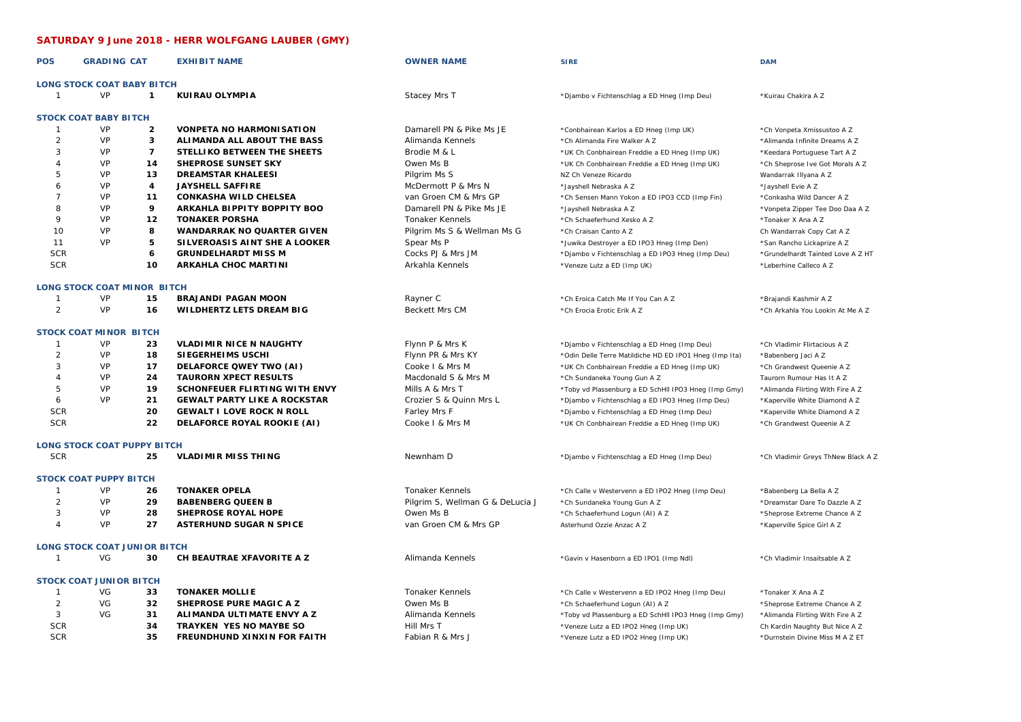## **SATURDAY 9 June 2018 - HERR WOLFGANG LAUBER (GMY)**

| <b>POS</b>     | <b>GRADING CAT</b>                  |                | <b>EXHIBIT NAME</b>                 | <b>OWNER NAME</b>                | <b>SIRE</b>                                            | <b>DAM</b>                         |
|----------------|-------------------------------------|----------------|-------------------------------------|----------------------------------|--------------------------------------------------------|------------------------------------|
|                | <b>LONG STOCK COAT BABY BITCH</b>   |                |                                     |                                  |                                                        |                                    |
| $\mathbf{1}$   | <b>VP</b>                           | $\mathbf{1}$   | KUIRAU OLYMPIA                      | Stacey Mrs T                     | *Djambo v Fichtenschlag a ED Hneg (Imp Deu)            | *Kuirau Chakira A Z                |
|                | <b>STOCK COAT BABY BITCH</b>        |                |                                     |                                  |                                                        |                                    |
| $\mathbf{1}$   | <b>VP</b>                           | $\overline{2}$ | <b>VONPETA NO HARMONISATION</b>     | Damarell PN & Pike Ms JE         | *Conbhairean Karlos a ED Hneg (Imp UK)                 | *Ch Vonpeta Xmissustoo A Z         |
| 2              | <b>VP</b>                           | 3              | ALIMANDA ALL ABOUT THE BASS         | Alimanda Kennels                 | *Ch Alimanda Fire Walker A Z                           | *Alimanda Infinite Dreams A Z      |
| 3              | VP                                  | $\overline{7}$ | STELLIKO BETWEEN THE SHEETS         | Brodie M & L                     | *UK Ch Conbhairean Freddie a ED Hneg (Imp UK)          | *Keedara Portuguese Tart A Z       |
| $\Delta$       | VP                                  | 14             | SHEPROSE SUNSET SKY                 | Owen Ms B                        | *UK Ch Conbhairean Freddie a ED Hneg (Imp UK)          | *Ch Sheprose Ive Got Morals A Z    |
| 5              | VP                                  | 13             | <b>DREAMSTAR KHALEESI</b>           | Pilgrim Ms S                     | NZ Ch Veneze Ricardo                                   | Wandarrak Illyana A Z              |
| 6              | VP                                  | 4              | <b>JAYSHELL SAFFIRE</b>             | McDermott P & Mrs N              | *Jayshell Nebraska A Z                                 | *Jayshell Evie A Z                 |
| $\overline{7}$ | VP                                  | 11             | <b>CONKASHA WILD CHELSEA</b>        | van Groen CM & Mrs GP            | *Ch Sensen Mann Yokon a ED IPO3 CCD (Imp Fin)          | *Conkasha Wild Dancer A Z          |
| 8              | VP                                  | 9              | ARKAHLA BIPPITY BOPPITY BOO         | Damarell PN & Pike Ms JE         | *Jayshell Nebraska A Z                                 | *Vonpeta Zipper Tee Doo Daa A Z    |
| 9              | VP                                  | 12             | <b>TONAKER PORSHA</b>               | <b>Tonaker Kennels</b>           | *Ch Schaeferhund Xesko A Z                             | *Tonaker X Ana A Z                 |
| 10             | VP                                  | 8              | <b>WANDARRAK NO QUARTER GIVEN</b>   | Pilgrim Ms S & Wellman Ms G      | *Ch Craisan Canto A Z                                  | Ch Wandarrak Copy Cat A Z          |
| 11             | VP                                  | 5              | SILVEROASIS AINT SHE A LOOKER       | Spear Ms P                       | *Juwika Destroyer a ED IPO3 Hneg (Imp Den)             | *San Rancho Lickaprize A Z         |
| <b>SCR</b>     |                                     | 6              | <b>GRUNDELHARDT MISS M</b>          | Cocks PJ & Mrs JM                |                                                        |                                    |
| <b>SCR</b>     |                                     | 10             | <b>ARKAHLA CHOC MARTINI</b>         |                                  | *Djambo v Fichtenschlag a ED IPO3 Hneg (Imp Deu)       | *Grundelhardt Tainted Love A Z HT  |
|                |                                     |                |                                     | Arkahla Kennels                  | *Veneze Lutz a ED (Imp UK)                             | *Leberhine Calleco A Z             |
|                | <b>LONG STOCK COAT MINOR BITCH</b>  |                |                                     |                                  |                                                        |                                    |
| $\mathbf{1}$   | VP                                  | 15             | <b>BRAJANDI PAGAN MOON</b>          | Rayner C                         | *Ch Eroica Catch Me If You Can A Z                     | *Brajandi Kashmir A Z              |
| 2              | <b>VP</b>                           | 16             | <b>WILDHERTZ LETS DREAM BIG</b>     | Beckett Mrs CM                   | *Ch Erocia Erotic Erik A Z                             | *Ch Arkahla You Lookin At Me A Z   |
|                | <b>STOCK COAT MINOR BITCH</b>       |                |                                     |                                  |                                                        |                                    |
| -1             | VP                                  | 23             | <b>VLADIMIR NICE N NAUGHTY</b>      | Flynn P & Mrs K                  | *Djambo v Fichtenschlag a ED Hneg (Imp Deu)            | *Ch Vladimir Flirtacious A Z       |
| 2              | VP                                  | 18             | SIEGERHEIMS USCHI                   | Flynn PR & Mrs KY                | *Odin Delle Terre Matildiche HD ED IPO1 Hneg (Imp Ita) | *Babenberg Jaci A Z                |
| 3              | VP                                  | 17             | DELAFORCE QWEY TWO (AI)             | Cooke I & Mrs M                  | *UK Ch Conbhairean Freddie a ED Hneg (Imp UK)          | *Ch Grandwest Queenie A Z          |
| 4              | VP                                  | 24             | <b>TAURORN XPECT RESULTS</b>        | Macdonald S & Mrs M              | *Ch Sundaneka Young Gun A Z                            | Taurorn Rumour Has It A Z          |
| 5              | VP                                  | 19             | SCHONFEUER FLIRTING WITH ENVY       | Mills A & Mrs T                  | *Toby vd Plassenburg a ED SchHll IPO3 Hneg (Imp Gmy)   | *Alimanda Flirting With Fire A Z   |
| 6              | VP                                  | 21             | <b>GEWALT PARTY LIKE A ROCKSTAR</b> | Crozier S & Quinn Mrs L          | *Djambo v Fichtenschlag a ED IPO3 Hneg (Imp Deu)       | *Kaperville White Diamond A Z      |
| <b>SCR</b>     |                                     | 20             | <b>GEWALT I LOVE ROCK N ROLL</b>    | Farley Mrs F                     | *Djambo v Fichtenschlag a ED Hneg (Imp Deu)            | *Kaperville White Diamond A Z      |
| <b>SCR</b>     |                                     | 22             | DELAFORCE ROYAL ROOKIE (AI)         | Cooke I & Mrs M                  | *UK Ch Conbhairean Freddie a ED Hneg (Imp UK)          | *Ch Grandwest Queenie A Z          |
|                |                                     |                |                                     |                                  |                                                        |                                    |
|                | <b>LONG STOCK COAT PUPPY BITCH</b>  |                |                                     |                                  |                                                        |                                    |
| <b>SCR</b>     |                                     | 25             | <b>VLADIMIR MISS THING</b>          | Newnham D                        | *Djambo v Fichtenschlag a ED Hneg (Imp Deu)            | *Ch Vladimir Greys ThNew Black A Z |
|                | <b>STOCK COAT PUPPY BITCH</b>       |                |                                     |                                  |                                                        |                                    |
| $\mathbf{1}$   | <b>VP</b>                           | 26             | <b>TONAKER OPELA</b>                | <b>Tonaker Kennels</b>           | *Ch Calle v Westervenn a ED IPO2 Hneg (Imp Deu)        | *Babenberg La Bella A Z            |
| 2              | <b>VP</b>                           | 29             | <b>BABENBERG QUEEN B</b>            | Pilgrim S, Wellman G & DeLucia J | *Ch Sundaneka Young Gun A Z                            | *Dreamstar Dare To Dazzle A Z      |
| 3              | <b>VP</b>                           | 28             | SHEPROSE ROYAL HOPE                 | Owen Ms B                        | *Ch Schaeferhund Logun (AI) A Z                        | *Sheprose Extreme Chance A Z       |
| $\overline{A}$ | VP                                  | 27             | <b>ASTERHUND SUGAR N SPICE</b>      | van Groen CM & Mrs GP            | Asterhund Ozzie Anzac A Z                              | *Kaperville Spice Girl A Z         |
|                | <b>LONG STOCK COAT JUNIOR BITCH</b> |                |                                     |                                  |                                                        |                                    |
| $\mathbf{1}$   | VG                                  | 30             | CH BEAUTRAE XFAVORITE A Z           | Alimanda Kennels                 |                                                        |                                    |
|                |                                     |                |                                     |                                  | *Gavin v Hasenborn a ED IPO1 (Imp Ndl)                 | *Ch Vladimir Insaitsable A Z       |
|                | <b>STOCK COAT JUNIOR BITCH</b>      |                |                                     |                                  |                                                        |                                    |
| $\mathbf{1}$   | VG                                  | 33             | <b>TONAKER MOLLIE</b>               | <b>Tonaker Kennels</b>           | *Ch Calle v Westervenn a ED IPO2 Hneg (Imp Deu)        | *Tonaker X Ana A Z                 |
| 2              | VG                                  | 32             | SHEPROSE PURE MAGIC A Z             | Owen Ms B                        | *Ch Schaeferhund Logun (AI) A Z                        | *Sheprose Extreme Chance A Z       |
| 3              | VG                                  | 31             | ALIMANDA ULTIMATE ENVY A Z          | Alimanda Kennels                 | *Toby vd Plassenburg a ED SchHll IPO3 Hneg (Imp Gmy)   | *Alimanda Flirting With Fire A Z   |
| <b>SCR</b>     |                                     | 34             | <b>TRAYKEN YES NO MAYBE SO</b>      | Hill Mrs T                       | *Veneze Lutz a ED IPO2 Hneg (Imp UK)                   | Ch Kardin Naughty But Nice A Z     |
| <b>SCR</b>     |                                     | 35             | <b>FREUNDHUND XINXIN FOR FAITH</b>  | Fabian R & Mrs J                 | *Veneze Lutz a ED IPO2 Hneg (Imp UK)                   | *Durnstein Divine Miss M A Z ET    |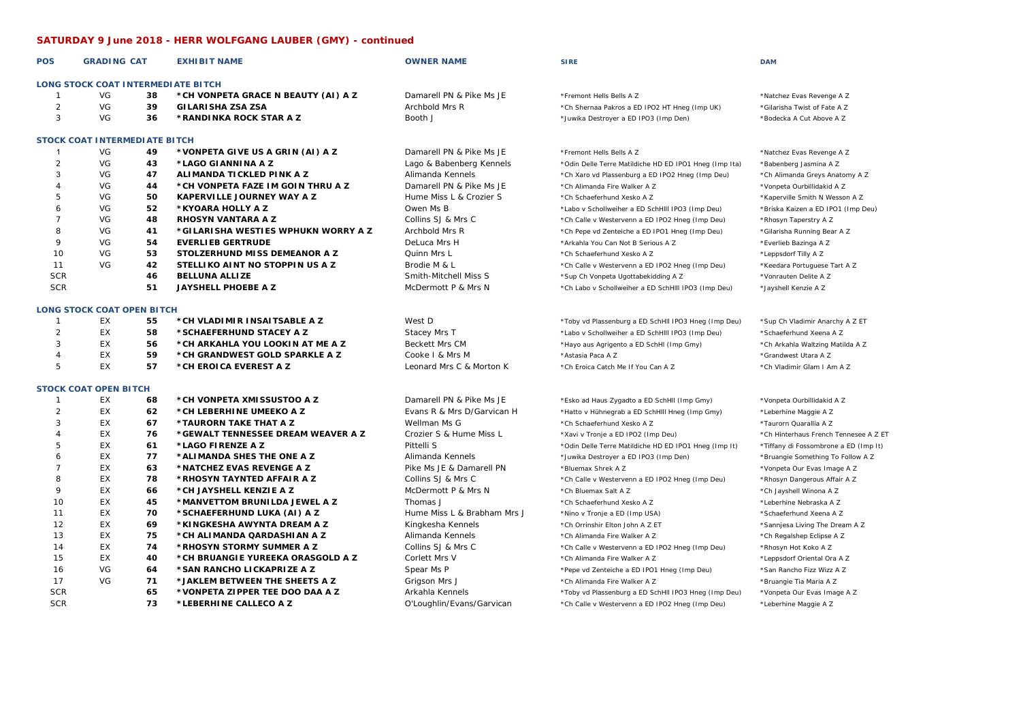## **SATURDAY 9 June 2018 - HERR WOLFGANG LAUBER (GMY) - continued**

| <b>POS</b>     | <b>GRADING CAT</b>                   |    | <b>EXHIBIT NAME</b>                 | <b>OWNER NAME</b>           | <b>SIRE</b>                                            | <b>DAM</b>                            |
|----------------|--------------------------------------|----|-------------------------------------|-----------------------------|--------------------------------------------------------|---------------------------------------|
|                | LONG STOCK COAT INTERMEDIATE BITCH   |    |                                     |                             |                                                        |                                       |
| -1             | VG                                   | 38 | *CH VONPETA GRACE N BEAUTY (AI) A Z | Damarell PN & Pike Ms JE    | *Fremont Hells Bells A Z                               | *Natchez Evas Revenge A Z             |
| $\overline{2}$ | VG                                   | 39 | <b>GILARISHA ZSA ZSA</b>            | Archbold Mrs R              | *Ch Shernaa Pakros a ED IPO2 HT Hneg (Imp UK)          | *Gilarisha Twist of Fate A Z          |
| 3              | VG                                   | 36 | *RANDINKA ROCK STAR A Z             | Booth J                     | *Juwika Destroyer a ED IPO3 (Imp Den)                  | *Bodecka A Cut Above A Z              |
|                | <b>STOCK COAT INTERMEDIATE BITCH</b> |    |                                     |                             |                                                        |                                       |
| $\overline{1}$ | VG                                   | 49 | *VONPETA GIVE US A GRIN (AI) A Z    | Damarell PN & Pike Ms JE    | *Fremont Hells Bells A Z                               | *Natchez Evas Revenge A Z             |
| 2              | VG                                   | 43 | *LAGO GIANNINA A Z                  | Lago & Babenberg Kennels    | *Odin Delle Terre Matildiche HD ED IPO1 Hneg (Imp Ita) | *Babenberg Jasmina A Z                |
| 3              | VG                                   | 47 | ALIMANDA TICKLED PINK A Z           | Alimanda Kennels            | *Ch Xaro vd Plassenburg a ED IPO2 Hneg (Imp Deu)       | *Ch Alimanda Greys Anatomy A Z        |
| $\overline{4}$ | VG                                   | 44 | *CH VONPETA FAZE IM GOIN THRU A Z   | Damarell PN & Pike Ms JE    | *Ch Alimanda Fire Walker A Z                           | *Vonpeta Ourbillidakid A Z            |
| 5              | VG                                   | 50 | <b>KAPERVILLE JOURNEY WAY A Z</b>   | Hume Miss L & Crozier S     | *Ch Schaeferhund Xesko A Z                             | *Kaperville Smith N Wesson A Z        |
| 6              | VG                                   | 52 | *KYOARA HOLLY A Z                   | Owen Ms B                   | *Labo v Schollweiher a ED SchHill IPO3 (Imp Deu)       | *Briska Kaizen a ED IPO1 (Imp Deu)    |
| $\overline{7}$ | VG                                   | 48 | <b>RHOSYN VANTARA A Z</b>           | Collins SJ & Mrs C          | *Ch Calle v Westervenn a ED IPO2 Hneg (Imp Deu)        | *Rhosyn Taperstry A Z                 |
| 8              | VG                                   | 41 | *GILARISHA WESTIES WPHUKN WORRY A Z | Archbold Mrs R              | *Ch Pepe vd Zenteiche a ED IPO1 Hneg (Imp Deu)         | *Gilarisha Running Bear A Z           |
| 9              | VG                                   | 54 | <b>EVERLIEB GERTRUDE</b>            | DeLuca Mrs H                | *Arkahla You Can Not B Serious A Z                     | *Everlieb Bazinga A Z                 |
| 10             | VG                                   | 53 | STOLZERHUND MISS DEMEANOR A Z       | Quinn Mrs L                 | *Ch Schaeferhund Xesko A Z                             | *Leppsdorf Tilly A Z                  |
| 11             | VG                                   | 42 | STELLIKO AINT NO STOPPIN US A Z     | Brodie M & L                | *Ch Calle v Westervenn a ED IPO2 Hneg (Imp Deu)        | *Keedara Portuguese Tart A Z          |
| <b>SCR</b>     |                                      | 46 | <b>BELLUNA ALLIZE</b>               | Smith-Mitchell Miss S       | *Sup Ch Vonpeta Ugottabekidding A Z                    | *Vonrauten Delite A Z                 |
| <b>SCR</b>     |                                      | 51 | JAYSHELL PHOEBE A Z                 | McDermott P & Mrs N         | *Ch Labo v Schollweiher a ED SchHill IPO3 (Imp Deu)    | *Jayshell Kenzie A Z                  |
|                | <b>LONG STOCK COAT OPEN BITCH</b>    |    |                                     |                             |                                                        |                                       |
| $\mathbf{1}$   | EX                                   | 55 | *CH VLADIMIR INSAITSABLE A Z        | West D                      | *Toby vd Plassenburg a ED SchHII IPO3 Hneg (Imp Deu)   | *Sup Ch Vladimir Anarchy A Z ET       |
| $\overline{2}$ | EX                                   | 58 | *SCHAEFERHUND STACEY A Z            | Stacey Mrs T                | *Labo v Schollweiher a ED SchHill IPO3 (Imp Deu)       | *Schaeferhund Xeena A Z               |
| 3              | EX                                   | 56 | *CH ARKAHLA YOU LOOKIN AT ME A Z    | Beckett Mrs CM              | *Hayo aus Agrigento a ED SchHI (Imp Gmy)               | *Ch Arkahla Waltzing Matilda A Z      |
| $\overline{4}$ | EX                                   | 59 | *CH GRANDWEST GOLD SPARKLE A Z      | Cooke I & Mrs M             | *Astasia Paca A Z                                      | *Grandwest Utara A Z                  |
| 5              | EX                                   | 57 | *CH EROICA EVEREST A Z              | Leonard Mrs C & Morton K    | *Ch Eroica Catch Me If You Can A Z                     | *Ch Vladimir Glam I Am A Z            |
|                | <b>STOCK COAT OPEN BITCH</b>         |    |                                     |                             |                                                        |                                       |
| $\mathbf{1}$   | EX                                   | 68 | *CH VONPETA XMISSUSTOO A Z          | Damarell PN & Pike Ms JE    | *Esko ad Haus Zygadto a ED SchHll (Imp Gmy)            | *Vonpeta Ourbillidakid A Z            |
| 2              | EX                                   | 62 | *CH LEBERHINE UMEEKO A Z            | Evans R & Mrs D/Garvican H  | *Hatto v Hühnegrab a ED SchHIII Hneg (Imp Gmy)         | *Leberhine Maggie A Z                 |
| 3              | EX                                   | 67 | *TAURORN TAKE THAT A Z              | Wellman Ms G                | *Ch Schaeferhund Xesko A Z                             | *Taurorn Quarallia A Z                |
| $\overline{4}$ | EX                                   | 76 | *GEWALT TENNESSEE DREAM WEAVER A Z  | Crozier S & Hume Miss L     | *Xavi v Tronje a ED IPO2 (Imp Deu)                     | *Ch Hinterhaus French Tennesee A Z ET |
| 5              | EX                                   | 61 | *LAGO FIRENZE A Z                   | Pittelli S                  | *Odin Delle Terre Matildiche HD ED IPO1 Hneg (Imp It)  | *Tiffany di Fossombrone a ED (Imp It) |
| 6              | EX                                   | 77 | *ALIMANDA SHES THE ONE A Z          | Alimanda Kennels            | *Juwika Destroyer a ED IPO3 (Imp Den)                  | *Bruangie Something To Follow A Z     |
| $\overline{7}$ | EX                                   | 63 | *NATCHEZ EVAS REVENGE A Z           | Pike Ms JE & Damarell PN    | *Bluemax Shrek A Z                                     | *Vonpeta Our Evas Image A Z           |
| 8              | EX                                   | 78 | *RHOSYN TAYNTED AFFAIR A Z          | Collins SJ & Mrs C          | *Ch Calle v Westervenn a ED IPO2 Hneg (Imp Deu)        | *Rhosyn Dangerous Affair A Z          |
| 9              | EX                                   | 66 | *CH JAYSHELL KENZIE A Z             | McDermott P & Mrs N         | *Ch Bluemax Salt A Z                                   | *Ch Jayshell Winona A Z               |
| 10             | EX                                   | 45 | *MANVETTOM BRUNILDA JEWEL A Z       | Thomas J                    | *Ch Schaeferhund Xesko A Z                             | *Leberhine Nebraska A Z               |
| 11             | EX                                   | 70 | *SCHAEFERHUND LUKA (AI) A Z         | Hume Miss L & Brabham Mrs J | *Nino v Tronje a ED (Imp USA)                          | *Schaeferhund Xeena A Z               |
| 12             | EX                                   | 69 | *KINGKESHA AWYNTA DREAM A Z         | Kingkesha Kennels           | *Ch Orrinshir Elton John A Z ET                        | *Sannjesa Living The Dream A Z        |
| 13             | EX                                   | 75 | *CH ALIMANDA QARDASHIAN A Z         | Alimanda Kennels            | *Ch Alimanda Fire Walker A Z                           | *Ch Regalshep Eclipse A Z             |
| 14             | EX                                   | 74 | *RHOSYN STORMY SUMMER A Z           | Collins SJ & Mrs C          | *Ch Calle v Westervenn a ED IPO2 Hneg (Imp Deu)        | *Rhosyn Hot Koko A Z                  |
| 15             | EX                                   | 40 | *CH BRUANGIE YUREEKA ORASGOLD A Z   | Corlett Mrs V               | *Ch Alimanda Fire Walker A Z                           | *Leppsdorf Oriental Ora A Z           |
| 16             | VG                                   | 64 | *SAN RANCHO LICKAPRIZE A Z          | Spear Ms P                  | *Pepe vd Zenteiche a ED IPO1 Hneg (Imp Deu)            | *San Rancho Fizz Wizz A Z             |
| 17             | VG                                   | 71 | *JAKLEM BETWEEN THE SHEETS A Z      | Grigson Mrs J               | *Ch Alimanda Fire Walker A Z                           | *Bruangie Tia Maria A Z               |
| <b>SCR</b>     |                                      | 65 | *VONPETA ZIPPER TEE DOO DAA A Z     | Arkahla Kennels             | *Toby vd Plassenburg a ED SchHll IPO3 Hneg (Imp Deu)   | *Vonpeta Our Evas Image A Z           |
| <b>SCR</b>     |                                      | 73 | *LEBERHINE CALLECO A Z              | O'Loughlin/Evans/Garvican   | *Ch Calle v Westervenn a ED IPO2 Hneg (Imp Deu)        | *Leberhine Maggie A Z                 |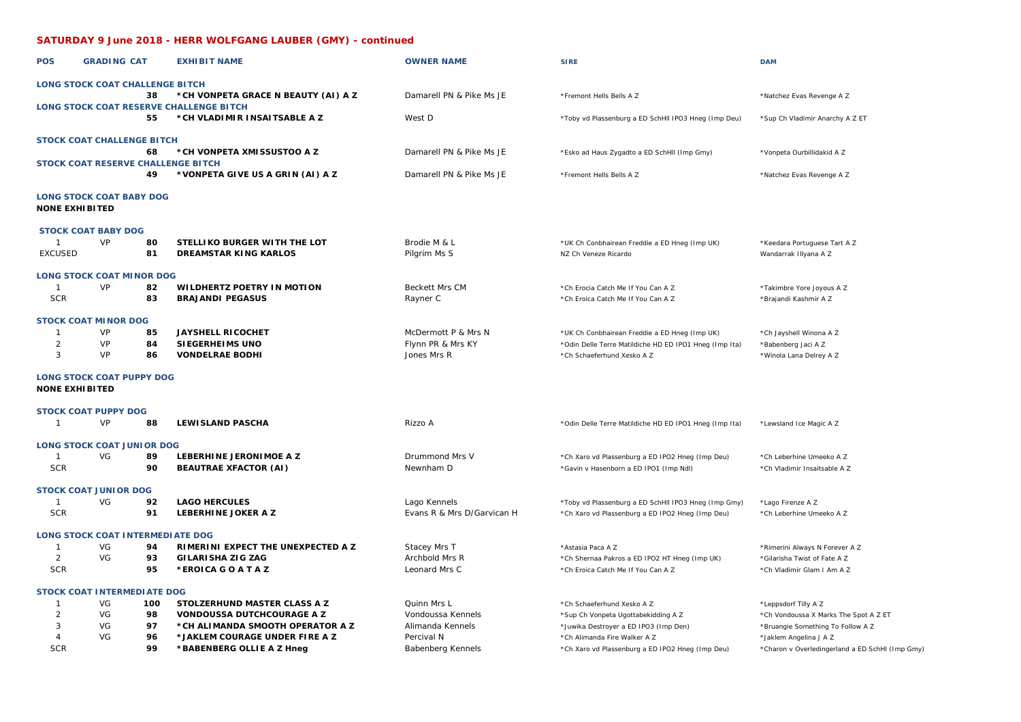## **SATURDAY 9 June 2018 - HERR WOLFGANG LAUBER (GMY) - continued**

| <b>POS</b>                   | <b>GRADING CAT</b>                     |          | <b>EXHIBIT NAME</b>                                                     | <b>OWNER NAME</b>                 | <b>SIRE</b>                                                              | <b>DAM</b>                                            |
|------------------------------|----------------------------------------|----------|-------------------------------------------------------------------------|-----------------------------------|--------------------------------------------------------------------------|-------------------------------------------------------|
|                              | <b>LONG STOCK COAT CHALLENGE BITCH</b> |          |                                                                         |                                   |                                                                          |                                                       |
|                              |                                        | 38       | *CH VONPETA GRACE N BEAUTY (AI) A Z                                     | Damarell PN & Pike Ms JE          | *Fremont Hells Bells A Z                                                 | *Natchez Evas Revenge A Z                             |
|                              |                                        | 55       | LONG STOCK COAT RESERVE CHALLENGE BITCH<br>*CH VLADIMIR INSAITSABLE A Z | West D                            | *Toby vd Plassenburg a ED SchHll IPO3 Hneg (Imp Deu)                     | *Sup Ch Vladimir Anarchy A Z ET                       |
|                              | <b>STOCK COAT CHALLENGE BITCH</b>      |          |                                                                         |                                   |                                                                          |                                                       |
|                              |                                        | 68       | *CH VONPETA XMISSUSTOO A Z                                              | Damarell PN & Pike Ms JE          | *Esko ad Haus Zygadto a ED SchHll (Imp Gmy)                              | *Vonpeta Ourbillidakid A Z                            |
|                              |                                        | 49       | STOCK COAT RESERVE CHALLENGE BITCH<br>*VONPETA GIVE US A GRIN (AI) A Z  | Damarell PN & Pike Ms JE          | *Fremont Hells Bells A Z                                                 | *Natchez Evas Revenge A Z                             |
| <b>NONE EXHIBITED</b>        | <b>LONG STOCK COAT BABY DOG</b>        |          |                                                                         |                                   |                                                                          |                                                       |
|                              | <b>STOCK COAT BABY DOG</b>             |          |                                                                         |                                   |                                                                          |                                                       |
| -1<br><b>EXCUSED</b>         | VP                                     | 80<br>81 | STELLIKO BURGER WITH THE LOT<br><b>DREAMSTAR KING KARLOS</b>            | Brodie M & L<br>Pilgrim Ms S      | *UK Ch Conbhairean Freddie a ED Hneg (Imp UK)<br>NZ Ch Veneze Ricardo    | *Keedara Portuguese Tart A Z<br>Wandarrak Illyana A Z |
|                              | <b>LONG STOCK COAT MINOR DOG</b>       |          |                                                                         |                                   |                                                                          |                                                       |
| $\overline{1}$<br><b>SCR</b> | VP                                     | 82<br>83 | WILDHERTZ POETRY IN MOTION<br><b>BRAJANDI PEGASUS</b>                   | <b>Beckett Mrs CM</b><br>Rayner C | *Ch Erocia Catch Me If You Can A Z<br>*Ch Eroica Catch Me If You Can A Z | *Takimbre Yore Joyous A Z<br>*Brajandi Kashmir A Z    |
|                              | <b>STOCK COAT MINOR DOG</b>            |          |                                                                         |                                   |                                                                          |                                                       |
| $\mathbf{1}$                 | <b>VP</b>                              | 85       | <b>JAYSHELL RICOCHET</b>                                                | McDermott P & Mrs N               | *UK Ch Conbhairean Freddie a ED Hneg (Imp UK)                            | *Ch Jayshell Winona A Z                               |
| $\overline{2}$               | <b>VP</b>                              | 84       | <b>SIEGERHEIMS UNO</b>                                                  | Flynn PR & Mrs KY                 | *Odin Delle Terre Matildiche HD ED IPO1 Hneg (Imp Ita)                   | *Babenberg Jaci A Z                                   |
| 3                            | VP                                     | 86       | <b>VONDELRAE BODHI</b>                                                  | Jones Mrs R                       | *Ch Schaeferhund Xesko A Z                                               | *Winola Lana Delrey A Z                               |
| <b>NONE EXHIBITED</b>        | <b>LONG STOCK COAT PUPPY DOG</b>       |          |                                                                         |                                   |                                                                          |                                                       |
|                              | <b>STOCK COAT PUPPY DOG</b>            |          |                                                                         |                                   |                                                                          |                                                       |
| $\overline{1}$               | VP                                     | 88       | <b>LEWISLAND PASCHA</b>                                                 | Rizzo A                           | *Odin Delle Terre Matildiche HD ED IPO1 Hneg (Imp Ita)                   | *Lewsland Ice Magic A Z                               |
|                              | <b>LONG STOCK COAT JUNIOR DOG</b>      |          |                                                                         |                                   |                                                                          |                                                       |
| $\overline{1}$               | VG                                     | 89       | LEBERHINE JERONIMOE A Z                                                 | Drummond Mrs V                    | *Ch Xaro vd Plassenburg a ED IPO2 Hneg (Imp Deu)                         | *Ch Leberhine Umeeko A Z                              |
| <b>SCR</b>                   |                                        | 90       | <b>BEAUTRAE XFACTOR (AI)</b>                                            | Newnham D                         | *Gavin v Hasenborn a ED IPO1 (Imp Ndl)                                   | *Ch Vladimir Insaitsable A Z                          |
|                              | <b>STOCK COAT JUNIOR DOG</b>           |          |                                                                         |                                   |                                                                          |                                                       |
| $\mathbf{1}$                 | VG                                     | 92       | <b>LAGO HERCULES</b>                                                    | Lago Kennels                      | *Toby vd Plassenburg a ED SchHII IPO3 Hneg (Imp Gmy)                     | *Lago Firenze A Z                                     |
| <b>SCR</b>                   |                                        | 91       | LEBERHINE JOKER A Z                                                     | Evans R & Mrs D/Garvican H        | *Ch Xaro vd Plassenburg a ED IPO2 Hneg (Imp Deu)                         | *Ch Leberhine Umeeko A Z                              |
|                              | LONG STOCK COAT INTERMEDIATE DOG       |          |                                                                         |                                   |                                                                          |                                                       |
| $\mathbf{1}$                 | VG                                     | 94       | RIMERINI EXPECT THE UNEXPECTED A Z                                      | Stacey Mrs T                      | *Astasia Paca A Z                                                        | *Rimerini Always N Forever A Z                        |
| 2                            | VG                                     | 93       | GILARISHA ZIG ZAG                                                       | Archbold Mrs R                    | *Ch Shernaa Pakros a ED IPO2 HT Hneg (Imp UK)                            | *Gilarisha Twist of Fate A Z                          |
| <b>SCR</b>                   |                                        | 95       | *EROICA GOATAZ                                                          | Leonard Mrs C                     | *Ch Eroica Catch Me If You Can A Z                                       | *Ch Vladimir Glam I Am A Z                            |
|                              | <b>STOCK COAT INTERMEDIATE DOG</b>     |          |                                                                         |                                   |                                                                          |                                                       |
| 1                            | VG                                     | 100      | STOLZERHUND MASTER CLASS A Z                                            | Quinn Mrs L                       | *Ch Schaeferhund Xesko A Z                                               | *Leppsdorf Tilly A Z                                  |
| $\overline{a}$               | VG                                     | 98       | <b>VONDOUSSA DUTCHCOURAGE A Z</b>                                       | Vondoussa Kennels                 | *Sup Ch Vonpeta Ugottabekidding A Z                                      | *Ch Vondoussa X Marks The Spot A Z ET                 |
| 3                            | VG                                     | 97       | *CH ALIMANDA SMOOTH OPERATOR A Z                                        | Alimanda Kennels                  | *Juwika Destroyer a ED IPO3 (Imp Den)                                    | *Bruangie Something To Follow A Z                     |
| $\overline{\mathbf{A}}$      | VG                                     | 96       | *JAKLEM COURAGE UNDER FIRE A Z                                          | Percival N                        | *Ch Alimanda Fire Walker A Z                                             | *Jaklem Angelina J A Z                                |
| <b>SCR</b>                   |                                        | 99       | *BABENBERG OLLIE A Z Hneg                                               | Babenberg Kennels                 | *Ch Xaro vd Plassenburg a ED IPO2 Hneg (Imp Deu)                         | *Charon v Overledingerland a ED SchHI (Imp Gmy)       |